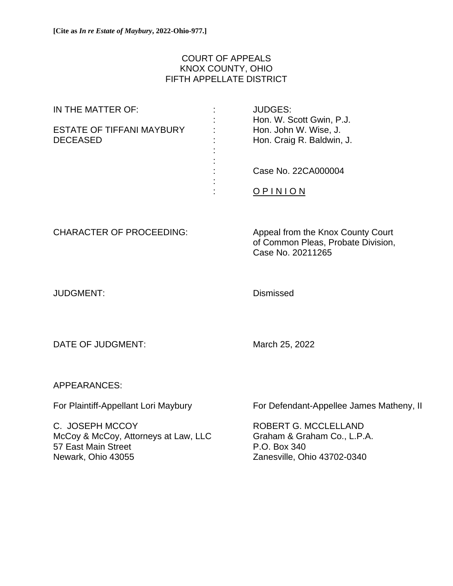# COURT OF APPEALS KNOX COUNTY, OHIO FIFTH APPELLATE DISTRICT

| IN THE MATTER OF:                | <b>JUDGES:</b>            |
|----------------------------------|---------------------------|
|                                  | Hon. W. Scott Gwin, P.J.  |
| <b>ESTATE OF TIFFANI MAYBURY</b> | Hon. John W. Wise, J.     |
| <b>DECEASED</b>                  | Hon. Craig R. Baldwin, J. |
|                                  |                           |
|                                  |                           |
|                                  | Case No. 22CA000004       |
|                                  |                           |
|                                  |                           |
|                                  |                           |

CHARACTER OF PROCEEDING: Appeal from the Knox County Court of Common Pleas, Probate Division, Case No. 20211265

JUDGMENT: Dismissed

DATE OF JUDGMENT: March 25, 2022

APPEARANCES:

C. JOSEPH MCCOY ROBERT G. MCCLELLAND McCoy & McCoy, Attorneys at Law, LLC Graham & Graham Co., L.P.A. 57 East Main Street **P.O. Box 340** Newark, Ohio 43055 Zanesville, Ohio 43702-0340

For Plaintiff-Appellant Lori Maybury **For Defendant-Appellee James Matheny, II**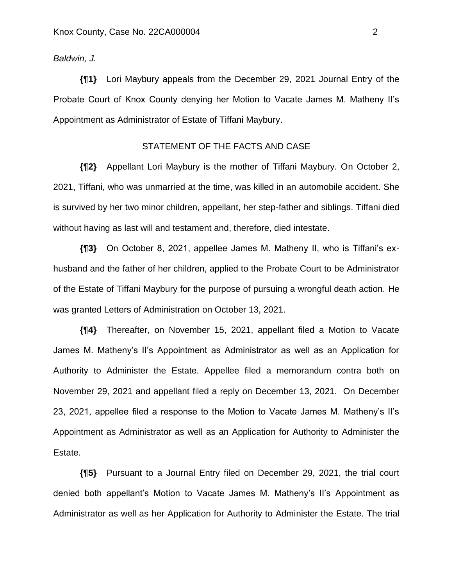### *Baldwin, J.*

**{¶1}** Lori Maybury appeals from the December 29, 2021 Journal Entry of the Probate Court of Knox County denying her Motion to Vacate James M. Matheny II's Appointment as Administrator of Estate of Tiffani Maybury.

# STATEMENT OF THE FACTS AND CASE

**{¶2}** Appellant Lori Maybury is the mother of Tiffani Maybury. On October 2, 2021, Tiffani, who was unmarried at the time, was killed in an automobile accident. She is survived by her two minor children, appellant, her step-father and siblings. Tiffani died without having as last will and testament and, therefore, died intestate.

**{¶3}** On October 8, 2021, appellee James M. Matheny II, who is Tiffani's exhusband and the father of her children, applied to the Probate Court to be Administrator of the Estate of Tiffani Maybury for the purpose of pursuing a wrongful death action. He was granted Letters of Administration on October 13, 2021.

**{¶4}** Thereafter, on November 15, 2021, appellant filed a Motion to Vacate James M. Matheny's II's Appointment as Administrator as well as an Application for Authority to Administer the Estate. Appellee filed a memorandum contra both on November 29, 2021 and appellant filed a reply on December 13, 2021. On December 23, 2021, appellee filed a response to the Motion to Vacate James M. Matheny's II's Appointment as Administrator as well as an Application for Authority to Administer the Estate.

**{¶5}** Pursuant to a Journal Entry filed on December 29, 2021, the trial court denied both appellant's Motion to Vacate James M. Matheny's II's Appointment as Administrator as well as her Application for Authority to Administer the Estate. The trial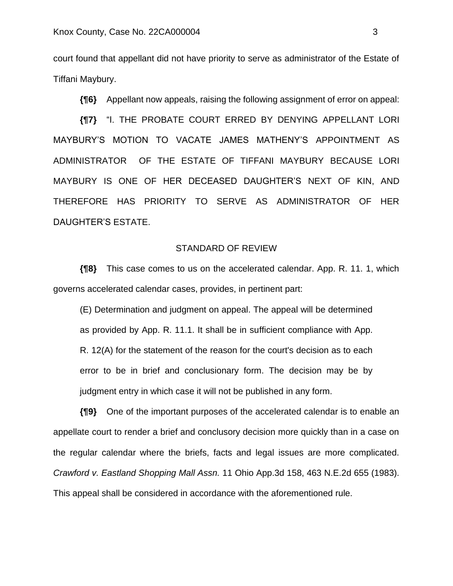court found that appellant did not have priority to serve as administrator of the Estate of Tiffani Maybury.

**{¶6}** Appellant now appeals, raising the following assignment of error on appeal:

**{¶7}** "I. THE PROBATE COURT ERRED BY DENYING APPELLANT LORI MAYBURY'S MOTION TO VACATE JAMES MATHENY'S APPOINTMENT AS ADMINISTRATOR OF THE ESTATE OF TIFFANI MAYBURY BECAUSE LORI MAYBURY IS ONE OF HER DECEASED DAUGHTER'S NEXT OF KIN, AND THEREFORE HAS PRIORITY TO SERVE AS ADMINISTRATOR OF HER DAUGHTER'S ESTATE.

## STANDARD OF REVIEW

**{¶8}** This case comes to us on the accelerated calendar. App. R. 11. 1, which governs accelerated calendar cases, provides, in pertinent part:

(E) Determination and judgment on appeal. The appeal will be determined as provided by App. R. 11.1. It shall be in sufficient compliance with App. R. 12(A) for the statement of the reason for the court's decision as to each error to be in brief and conclusionary form. The decision may be by judgment entry in which case it will not be published in any form.

**{¶9}** One of the important purposes of the accelerated calendar is to enable an appellate court to render a brief and conclusory decision more quickly than in a case on the regular calendar where the briefs, facts and legal issues are more complicated. *Crawford v. Eastland Shopping Mall Assn.* 11 Ohio App.3d 158, 463 N.E.2d 655 (1983). This appeal shall be considered in accordance with the aforementioned rule.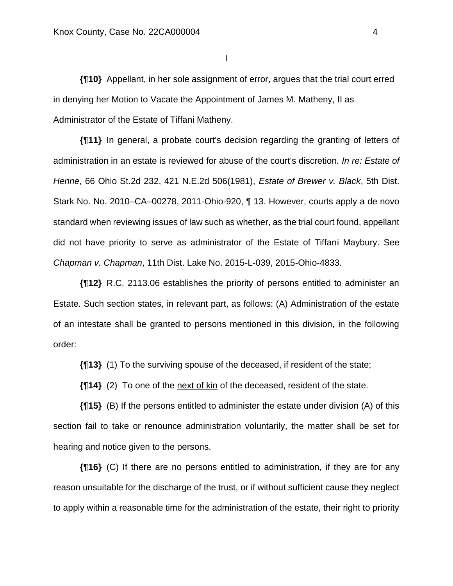I

**{¶10}** Appellant, in her sole assignment of error, argues that the trial court erred in denying her Motion to Vacate the Appointment of James M. Matheny, II as Administrator of the Estate of Tiffani Matheny.

**{¶11}** In general, a probate court's decision regarding the granting of letters of administration in an estate is reviewed for abuse of the court's discretion. *In re: Estate of Henne*, 66 Ohio St.2d 232, 421 N.E.2d 506(1981), *Estate of Brewer v. Black*, 5th Dist. Stark No. No. 2010–CA–00278, 2011-Ohio-920, ¶ 13. However, courts apply a de novo standard when reviewing issues of law such as whether, as the trial court found, appellant did not have priority to serve as administrator of the Estate of Tiffani Maybury. See *Chapman v. Chapman*, 11th Dist. Lake No. 2015-L-039, 2015-Ohio-4833.

**{¶12}** R.C. 2113.06 establishes the priority of persons entitled to administer an Estate. Such section states, in relevant part, as follows: (A) Administration of the estate of an intestate shall be granted to persons mentioned in this division, in the following order:

**{¶13}** (1) To the surviving spouse of the deceased, if resident of the state;

**{¶14}** (2) To one of the next of kin of the deceased, resident of the state.

**{¶15}** (B) If the persons entitled to administer the estate under division (A) of this section fail to take or renounce administration voluntarily, the matter shall be set for hearing and notice given to the persons.

**{¶16}** (C) If there are no persons entitled to administration, if they are for any reason unsuitable for the discharge of the trust, or if without sufficient cause they neglect to apply within a reasonable time for the administration of the estate, their right to priority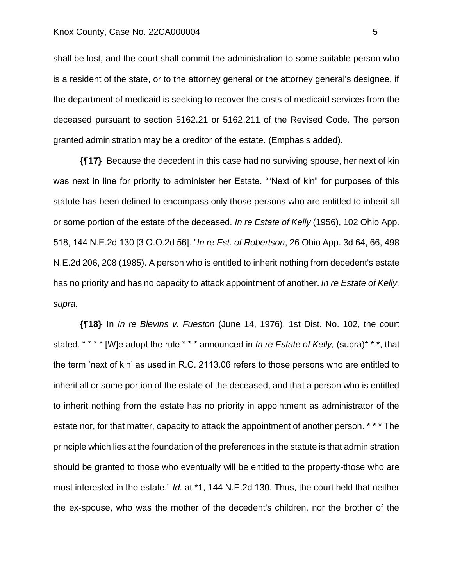#### Knox County, Case No. 22CA000004 5

shall be lost, and the court shall commit the administration to some suitable person who is a resident of the state, or to the attorney general or the attorney general's designee, if the department of medicaid is seeking to recover the costs of medicaid services from the deceased pursuant to section 5162.21 or 5162.211 of the Revised Code. The person granted administration may be a creditor of the estate. (Emphasis added).

**{¶17}** Because the decedent in this case had no surviving spouse, her next of kin was next in line for priority to administer her Estate. ""Next of kin" for purposes of this statute has been defined to encompass only those persons who are entitled to inherit all or some portion of the estate of the deceased. *In re Estate of Kelly* (1956), 102 Ohio App. 518, 144 N.E.2d 130 [3 O.O.2d 56]. "*In re Est. of Robertson*, 26 Ohio App. 3d 64, 66, 498 N.E.2d 206, 208 (1985). A person who is entitled to inherit nothing from decedent's estate has no priority and has no capacity to attack appointment of another. *In re Estate of Kelly, supra.*

**{¶18}** In *In re Blevins v. Fueston* (June 14, 1976), 1st Dist. No. 102, the court stated. " \* \* \* [W]e adopt the rule \* \* \* announced in *In re Estate of Kelly,* (supra)\* \* \*, that the term 'next of kin' as used in R.C. 2113.06 refers to those persons who are entitled to inherit all or some portion of the estate of the deceased, and that a person who is entitled to inherit nothing from the estate has no priority in appointment as administrator of the estate nor, for that matter, capacity to attack the appointment of another person. \* \* \* The principle which lies at the foundation of the preferences in the statute is that administration should be granted to those who eventually will be entitled to the property-those who are most interested in the estate." *Id.* at \*1, 144 N.E.2d 130. Thus, the court held that neither the ex-spouse, who was the mother of the decedent's children, nor the brother of the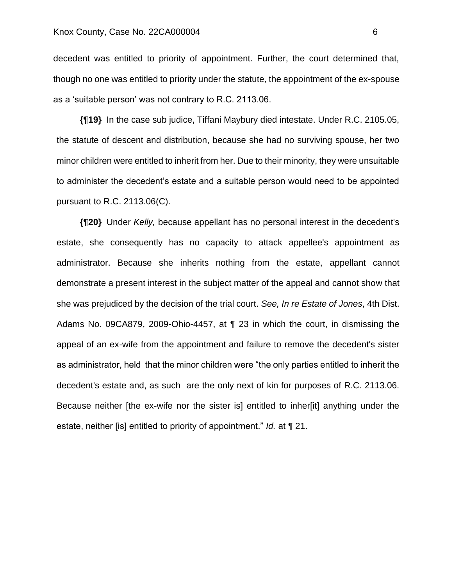decedent was entitled to priority of appointment. Further, the court determined that, though no one was entitled to priority under the statute, the appointment of the ex-spouse as a 'suitable person' was not contrary to R.C. 2113.06.

**{¶19}** In the case sub judice, Tiffani Maybury died intestate. Under R.C. 2105.05, the statute of descent and distribution, because she had no surviving spouse, her two minor children were entitled to inherit from her. Due to their minority, they were unsuitable to administer the decedent's estate and a suitable person would need to be appointed pursuant to R.C. 2113.06(C).

**{¶20}** Under *Kelly,* because appellant has no personal interest in the decedent's estate, she consequently has no capacity to attack appellee's appointment as administrator. Because she inherits nothing from the estate, appellant cannot demonstrate a present interest in the subject matter of the appeal and cannot show that she was prejudiced by the decision of the trial court. *See, In re Estate of Jones*, 4th Dist. Adams No. 09CA879, 2009-Ohio-4457, at ¶ 23 in which the court, in dismissing the appeal of an ex-wife from the appointment and failure to remove the decedent's sister as administrator, held that the minor children were "the only parties entitled to inherit the decedent's estate and, as such are the only next of kin for purposes of R.C. 2113.06. Because neither [the ex-wife nor the sister is] entitled to inher[it] anything under the estate, neither [is] entitled to priority of appointment." *Id.* at ¶ 21.